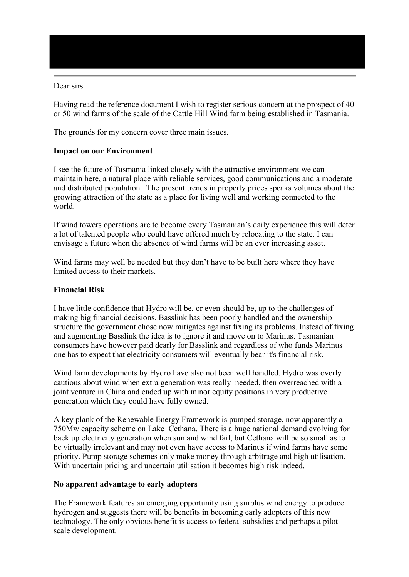## Dear sirs

Having read the reference document I wish to register serious concern at the prospect of 40 or 50 wind farms of the scale of the Cattle Hill Wind farm being established in Tasmania.

The grounds for my concern cover three main issues.

## **Impact on our Environment**

I see the future of Tasmania linked closely with the attractive environment we can maintain here, a natural place with reliable services, good communications and a moderate and distributed population. The present trends in property prices speaks volumes about the growing attraction of the state as a place for living well and working connected to the world.

If wind towers operations are to become every Tasmanian's daily experience this will deter a lot of talented people who could have offered much by relocating to the state. I can envisage a future when the absence of wind farms will be an ever increasing asset.

Wind farms may well be needed but they don't have to be built here where they have limited access to their markets.

## **Financial Risk**

I have little confidence that Hydro will be, or even should be, up to the challenges of making big financial decisions. Basslink has been poorly handled and the ownership structure the government chose now mitigates against fixing its problems. Instead of fixing and augmenting Basslink the idea is to ignore it and move on to Marinus. Tasmanian consumers have however paid dearly for Basslink and regardless of who funds Marinus one has to expect that electricity consumers will eventually bear it's financial risk.

Wind farm developments by Hydro have also not been well handled. Hydro was overly cautious about wind when extra generation was really needed, then overreached with a joint venture in China and ended up with minor equity positions in very productive generation which they could have fully owned.

A key plank of the Renewable Energy Framework is pumped storage, now apparently a 750Mw capacity scheme on Lake Cethana. There is a huge national demand evolving for back up electricity generation when sun and wind fail, but Cethana will be so small as to be virtually irrelevant and may not even have access to Marinus if wind farms have some priority. Pump storage schemes only make money through arbitrage and high utilisation. With uncertain pricing and uncertain utilisation it becomes high risk indeed.

## **No apparent advantage to early adopters**

The Framework features an emerging opportunity using surplus wind energy to produce hydrogen and suggests there will be benefits in becoming early adopters of this new technology. The only obvious benefit is access to federal subsidies and perhaps a pilot scale development.